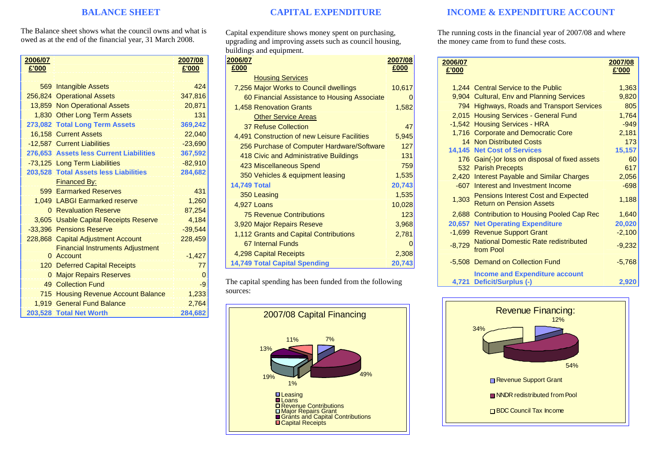## **BALANCE SHEET**

The Balance sheet shows what the council owns and what is owed as at the end of the financial year, 31 March 2008.

| 2006/07        |                                         | 2007/08   |
|----------------|-----------------------------------------|-----------|
| £'000          |                                         | £'000     |
|                |                                         |           |
|                | 569 Intangible Assets                   | 424       |
|                | 256,824 Operational Assets              | 347,816   |
|                | 13,859 Non Operational Assets           | 20,871    |
|                | 1,830 Other Long Term Assets            | 131       |
|                | 273,082 Total Long Term Assets          | 369,242   |
|                | 16.158 Current Assets                   | 22,040    |
|                | -12,587 Current Liabilities             | $-23,690$ |
|                | 276,653 Assets less Current Liabilities | 367,592   |
|                | -73,125 Long Term Liabilities           | $-82,910$ |
|                | 203,528 Total Assets less Liabilities   | 284,682   |
|                | <b>Financed By:</b>                     |           |
|                | 599 Earmarked Reserves                  | 431       |
|                | 1.049 LABGI Earmarked reserve           | 1,260     |
|                | 0 Revaluation Reserve                   | 87,254    |
|                | 3,605 Usable Capital Receipts Reserve   | 4,184     |
|                | -33,396 Pensions Reserve                | $-39,544$ |
|                | 228,868 Capital Adjustment Account      | 228,459   |
|                | <b>Financial Instruments Adjustment</b> |           |
|                | 0 Account                               | $-1,427$  |
|                | 120 Deferred Capital Receipts           | 77        |
| $\overline{0}$ | <b>Major Repairs Reserves</b>           | $\Omega$  |
|                | 49 Collection Fund                      | -9        |
|                | 715 Housing Revenue Account Balance     | 1,233     |
|                | 1,919 General Fund Balance              | 2,764     |
|                | 203,528 Total Net Worth                 | 284,682   |

# **CAPITAL EXPENDITURE**

Capital expenditure shows money spent on purchasing, upgrading and improving assets such as council housing, buildings and equipment.

| 2006/07                                      | 2007/08 |
|----------------------------------------------|---------|
| £000                                         | £000    |
| <b>Housing Services</b>                      |         |
| 7,256 Major Works to Council dwellings       | 10,617  |
| 60 Financial Assistance to Housing Associate |         |
| 1,458 Renovation Grants                      | 1,582   |
| <b>Other Service Areas</b>                   |         |
| 37 Refuse Collection                         | 47      |
| 4,491 Construction of new Leisure Facilities | 5,945   |
| 256 Purchase of Computer Hardware/Software   | 127     |
| 418 Civic and Administrative Buildings       | 131     |
| 423 Miscellaneous Spend                      | 759     |
| 350 Vehicles & equipment leasing             | 1,535   |
| <b>14,749 Total</b>                          | 20,743  |
| 350 Leasing                                  | 1,535   |
| 4,927 Loans                                  | 10,028  |
| <b>75 Revenue Contributions</b>              | 123     |
| 3,920 Major Repairs Reseve                   | 3,968   |
| 1,112 Grants and Capital Contributions       | 2,781   |
| 67 Internal Funds                            |         |
| 4,298 Capital Receipts                       | 2,308   |
| <b>14,749 Total Capital Spending</b>         | 20,743  |

The capital spending has been funded from the following sources:



# **INCOME & EXPENDITURE ACCOUNT**

The running costs in the financial year of 2007/08 and where the money came from to fund these costs.

| 2006/07  |                                                                               | 2007/08  |
|----------|-------------------------------------------------------------------------------|----------|
| £'000    |                                                                               | £'000    |
|          |                                                                               |          |
|          | 1,244 Central Service to the Public                                           | 1,363    |
|          | 9,904 Cultural, Env and Planning Services                                     | 9,820    |
|          | 794 Highways, Roads and Transport Services                                    | 805      |
|          | 2,015 Housing Services - General Fund                                         | 1,764    |
|          | -1,542 Housing Services - HRA                                                 | $-949$   |
|          | 1,716 Corporate and Democratic Core                                           | 2,181    |
|          | 14 Non Distributed Costs                                                      | 173      |
|          | 14,145 Net Cost of Services                                                   | 15,157   |
|          | 176 Gain(-) or loss on disposal of fixed assets                               | 60       |
|          | 532 Parish Precepts                                                           | 617      |
|          | 2,420 Interest Payable and Similar Charges                                    | 2,056    |
|          | -607 Interest and Investment Income                                           | $-698$   |
| 1,303    | <b>Pensions Interest Cost and Expected</b><br><b>Return on Pension Assets</b> | 1,188    |
|          | 2,688 Contribution to Housing Pooled Cap Rec                                  | 1,640    |
|          | <b>20,657 Net Operating Expenditure</b>                                       | 20,020   |
|          | -1,699 Revenue Support Grant                                                  | $-2,100$ |
| $-8,729$ | <b>National Domestic Rate redistributed</b><br>from Pool                      | $-9,232$ |
|          | -5,508 Demand on Collection Fund                                              | $-5,768$ |
| 4,721    | <b>Income and Expenditure account</b><br>Deficit/Surplus (-)                  | 2,920    |
|          |                                                                               |          |